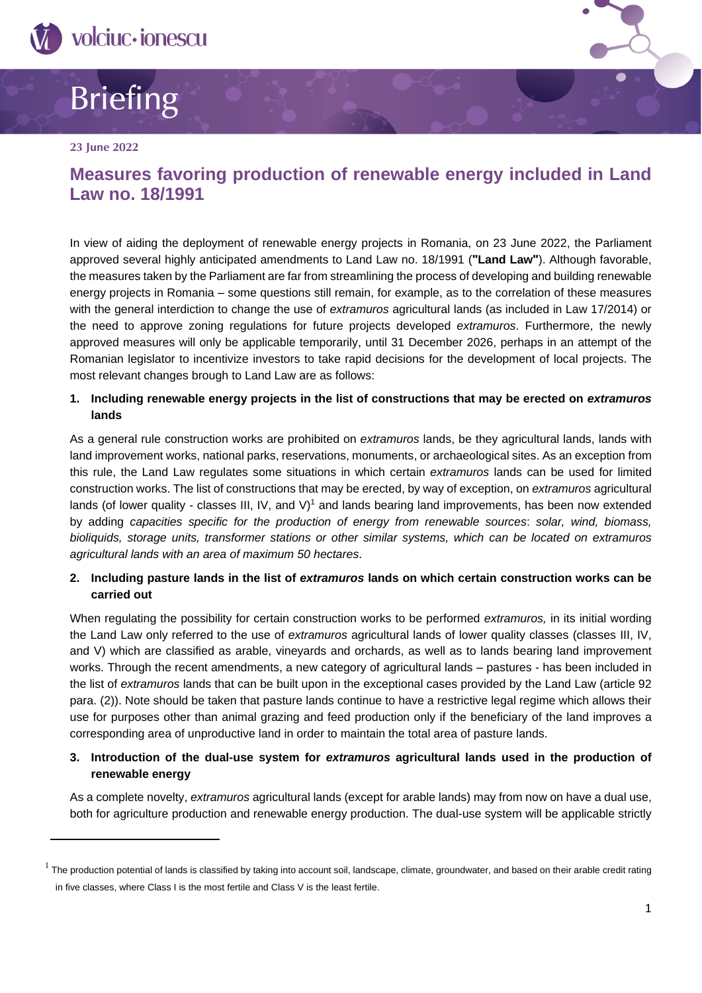

# Briefing

#### **23 June 2022**

## **Measures favoring production of renewable energy included in Land Law no. 18/1991**

In view of aiding the deployment of renewable energy projects in Romania, on 23 June 2022, the Parliament approved several highly anticipated amendments to Land Law no. 18/1991 ("Land Law"). Although favorable, the measures taken by the Parliament are far from streamlining the process of developing and building renewable energy projects in Romania – some questions still remain, for example, as to the correlation of these measures with the general interdiction to change the use of *extramuros* agricultural lands (as included in Law 17/2014) or the need to approve zoning regulations for future projects developed *extramuros*. Furthermore, the newly approved measures will only be applicable temporarily, until 31 December 2026, perhaps in an attempt of the Romanian legislator to incentivize investors to take rapid decisions for the development of local projects. The most relevant changes brough to Land Law are as follows:

#### **1. Including renewable energy projects in the list of constructions that may be erected on** *extramuros*  **lands**

As a general rule construction works are prohibited on *extramuros* lands, be they agricultural lands, lands with land improvement works, national parks, reservations, monuments, or archaeological sites. As an exception from this rule, the Land Law regulates some situations in which certain *extramuros* lands can be used for limited construction works. The list of constructions that may be erected, by way of exception, on *extramuros* agricultural lands (of lower quality - classes III, IV, and V)<sup>1</sup> and lands bearing land improvements, has been now extended by adding *capacities specific for the production of energy from renewable sources*: *solar, wind, biomass, bioliquids, storage units, transformer stations or other similar systems, which can be located on extramuros agricultural lands with an area of maximum 50 hectares*.

#### **2. Including pasture lands in the list of** *extramuros* **lands on which certain construction works can be carried out**

When regulating the possibility for certain construction works to be performed *extramuros,* in its initial wording the Land Law only referred to the use of *extramuros* agricultural lands of lower quality classes (classes III, IV, and V) which are classified as arable, vineyards and orchards, as well as to lands bearing land improvement works. Through the recent amendments, a new category of agricultural lands – pastures - has been included in the list of *extramuros* lands that can be built upon in the exceptional cases provided by the Land Law (article 92 para. (2)). Note should be taken that pasture lands continue to have a restrictive legal regime which allows their use for purposes other than animal grazing and feed production only if the beneficiary of the land improves a corresponding area of unproductive land in order to maintain the total area of pasture lands.

### **3. Introduction of the dual-use system for** *extramuros* **agricultural lands used in the production of renewable energy**

As a complete novelty, *extramuros* agricultural lands (except for arable lands) may from now on have a dual use, both for agriculture production and renewable energy production. The dual-use system will be applicable strictly

 $1$  The production potential of lands is classified by taking into account soil, landscape, climate, groundwater, and based on their arable credit rating in five classes, where Class I is the most fertile and Class V is the least fertile.